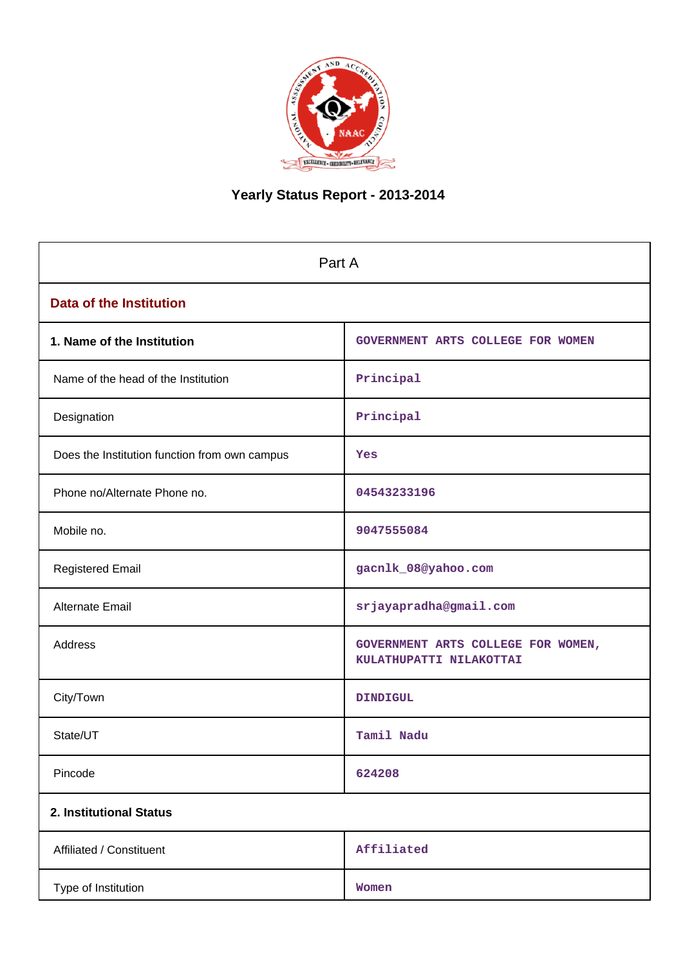

# **Yearly Status Report - 2013-2014**

| Part A                                        |                                                               |  |  |  |  |
|-----------------------------------------------|---------------------------------------------------------------|--|--|--|--|
| <b>Data of the Institution</b>                |                                                               |  |  |  |  |
| 1. Name of the Institution                    | GOVERNMENT ARTS COLLEGE FOR WOMEN                             |  |  |  |  |
| Name of the head of the Institution           | Principal                                                     |  |  |  |  |
| Designation                                   | Principal                                                     |  |  |  |  |
| Does the Institution function from own campus | Yes                                                           |  |  |  |  |
| Phone no/Alternate Phone no.                  | 04543233196                                                   |  |  |  |  |
| Mobile no.                                    | 9047555084                                                    |  |  |  |  |
| <b>Registered Email</b>                       | gacnlk_08@yahoo.com                                           |  |  |  |  |
| Alternate Email                               | srjayapradha@gmail.com                                        |  |  |  |  |
| Address                                       | GOVERNMENT ARTS COLLEGE FOR WOMEN,<br>KULATHUPATTI NILAKOTTAI |  |  |  |  |
| City/Town                                     | <b>DINDIGUL</b>                                               |  |  |  |  |
| State/UT                                      | Tamil Nadu                                                    |  |  |  |  |
| Pincode                                       | 624208                                                        |  |  |  |  |
| 2. Institutional Status                       |                                                               |  |  |  |  |
| Affiliated / Constituent                      | Affiliated                                                    |  |  |  |  |
| Type of Institution                           | Women                                                         |  |  |  |  |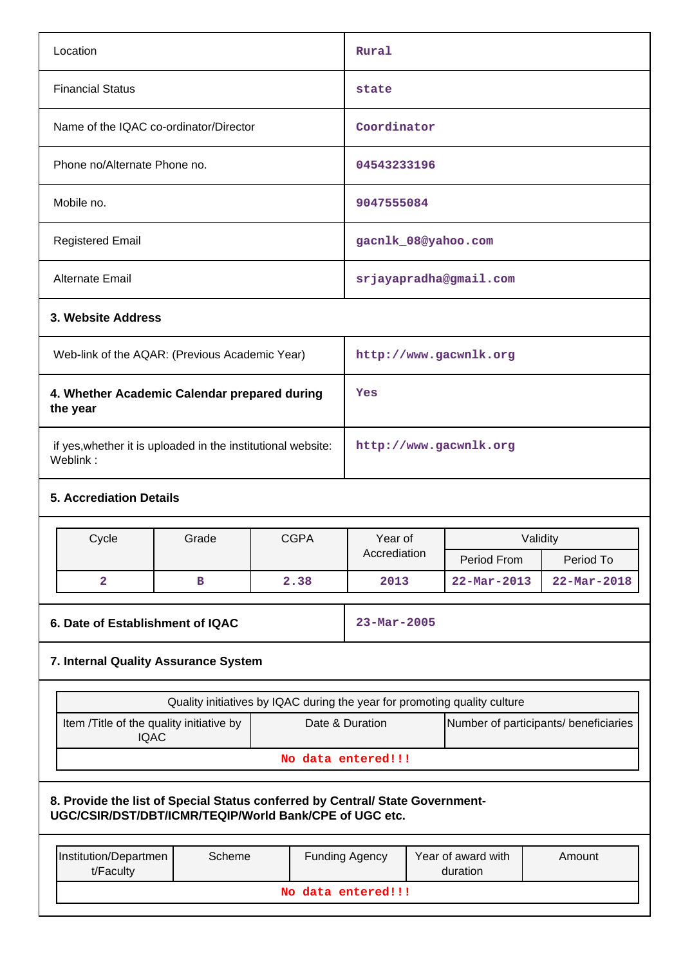| Location                                                                                                                                | <b>Rural</b> |                                                                           |                       |                        |                                  |                                       |  |
|-----------------------------------------------------------------------------------------------------------------------------------------|--------------|---------------------------------------------------------------------------|-----------------------|------------------------|----------------------------------|---------------------------------------|--|
| <b>Financial Status</b>                                                                                                                 | state        |                                                                           |                       |                        |                                  |                                       |  |
| Name of the IQAC co-ordinator/Director                                                                                                  | Coordinator  |                                                                           |                       |                        |                                  |                                       |  |
| Phone no/Alternate Phone no.                                                                                                            |              |                                                                           | 04543233196           |                        |                                  |                                       |  |
| Mobile no.                                                                                                                              |              |                                                                           | 9047555084            |                        |                                  |                                       |  |
| <b>Registered Email</b>                                                                                                                 |              |                                                                           |                       |                        | gacnlk_08@yahoo.com              |                                       |  |
| Alternate Email                                                                                                                         |              |                                                                           |                       |                        | srjayapradha@gmail.com           |                                       |  |
| 3. Website Address                                                                                                                      |              |                                                                           |                       |                        |                                  |                                       |  |
| Web-link of the AQAR: (Previous Academic Year)                                                                                          |              |                                                                           |                       |                        | http://www.gacwnlk.org           |                                       |  |
| 4. Whether Academic Calendar prepared during<br>the year                                                                                |              |                                                                           | Yes                   |                        |                                  |                                       |  |
| if yes, whether it is uploaded in the institutional website:<br>Weblink:                                                                |              |                                                                           |                       | http://www.gacwnlk.org |                                  |                                       |  |
| <b>5. Accrediation Details</b>                                                                                                          |              |                                                                           |                       |                        |                                  |                                       |  |
| Cycle                                                                                                                                   | Grade        | <b>CGPA</b>                                                               | Year of               |                        |                                  | Validity                              |  |
| $\overline{a}$                                                                                                                          | в            | 2.38                                                                      | Accrediation<br>2013  |                        | Period From<br>$22 - Mar - 2013$ | Period To<br>$22 - \text{Mar} - 2018$ |  |
|                                                                                                                                         |              |                                                                           |                       |                        |                                  |                                       |  |
| 6. Date of Establishment of IQAC                                                                                                        |              |                                                                           | $23 - Mar - 2005$     |                        |                                  |                                       |  |
| 7. Internal Quality Assurance System                                                                                                    |              |                                                                           |                       |                        |                                  |                                       |  |
|                                                                                                                                         |              | Quality initiatives by IQAC during the year for promoting quality culture |                       |                        |                                  |                                       |  |
| Item /Title of the quality initiative by<br><b>IQAC</b>                                                                                 |              |                                                                           | Date & Duration       |                        |                                  | Number of participants/ beneficiaries |  |
|                                                                                                                                         |              |                                                                           | No data entered!!!    |                        |                                  |                                       |  |
| 8. Provide the list of Special Status conferred by Central/ State Government-<br>UGC/CSIR/DST/DBT/ICMR/TEQIP/World Bank/CPE of UGC etc. |              |                                                                           |                       |                        |                                  |                                       |  |
| Institution/Departmen<br>t/Faculty                                                                                                      | Scheme       |                                                                           | <b>Funding Agency</b> |                        | Year of award with<br>duration   | Amount                                |  |
|                                                                                                                                         |              |                                                                           | No data entered!!!    |                        |                                  |                                       |  |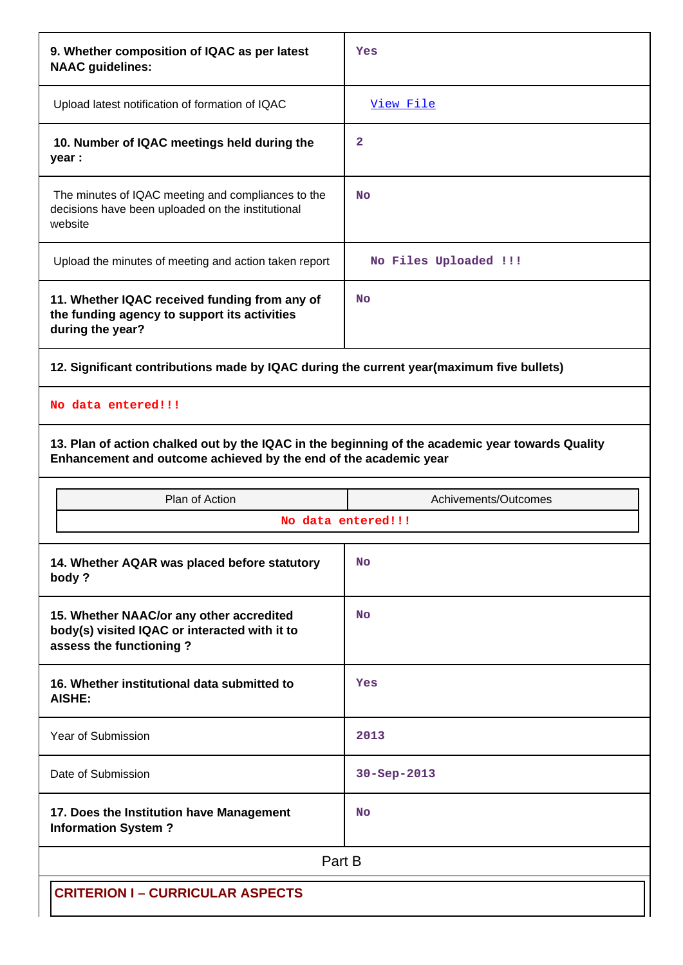| 9. Whether composition of IQAC as per latest<br><b>NAAC</b> guidelines:                                                                                              | Yes                   |  |  |  |  |  |  |
|----------------------------------------------------------------------------------------------------------------------------------------------------------------------|-----------------------|--|--|--|--|--|--|
| Upload latest notification of formation of IQAC                                                                                                                      | View File             |  |  |  |  |  |  |
| 10. Number of IQAC meetings held during the<br>year :                                                                                                                | 2                     |  |  |  |  |  |  |
| The minutes of IQAC meeting and compliances to the<br>decisions have been uploaded on the institutional<br>website                                                   | <b>No</b>             |  |  |  |  |  |  |
| Upload the minutes of meeting and action taken report                                                                                                                | No Files Uploaded !!! |  |  |  |  |  |  |
| 11. Whether IQAC received funding from any of<br>the funding agency to support its activities<br>during the year?                                                    | <b>No</b>             |  |  |  |  |  |  |
| 12. Significant contributions made by IQAC during the current year(maximum five bullets)                                                                             |                       |  |  |  |  |  |  |
| No data entered!!!                                                                                                                                                   |                       |  |  |  |  |  |  |
| 13. Plan of action chalked out by the IQAC in the beginning of the academic year towards Quality<br>Enhancement and outcome achieved by the end of the academic year |                       |  |  |  |  |  |  |
| Plan of Action                                                                                                                                                       | Achivements/Outcomes  |  |  |  |  |  |  |
|                                                                                                                                                                      | No data entered!!!    |  |  |  |  |  |  |
|                                                                                                                                                                      |                       |  |  |  |  |  |  |
| 14. Whether AQAR was placed before statutory<br>body?                                                                                                                | <b>No</b>             |  |  |  |  |  |  |
| 15. Whether NAAC/or any other accredited<br>body(s) visited IQAC or interacted with it to<br>assess the functioning?                                                 | <b>No</b>             |  |  |  |  |  |  |
| 16. Whether institutional data submitted to<br><b>AISHE:</b>                                                                                                         | Yes                   |  |  |  |  |  |  |
| Year of Submission                                                                                                                                                   | 2013                  |  |  |  |  |  |  |
| Date of Submission                                                                                                                                                   | $30 - Sep - 2013$     |  |  |  |  |  |  |
| 17. Does the Institution have Management<br><b>Information System?</b>                                                                                               | <b>No</b>             |  |  |  |  |  |  |
|                                                                                                                                                                      | Part B                |  |  |  |  |  |  |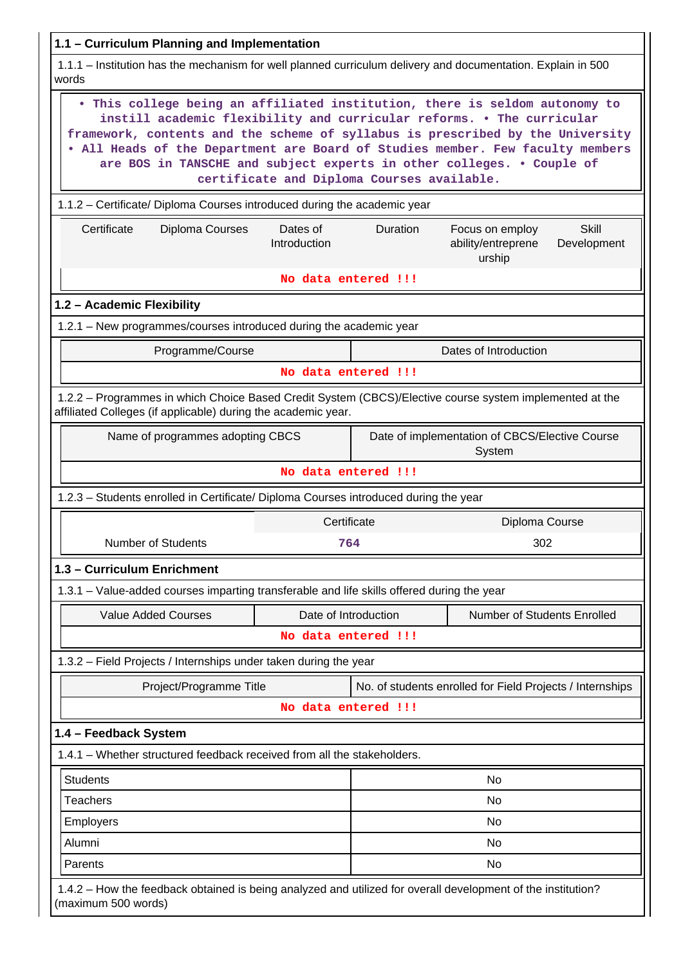| 1.1 - Curriculum Planning and Implementation                                                                                                                                                                                                                                                                                                                                                                                                    |                                                                                                              |  |  |  |  |  |
|-------------------------------------------------------------------------------------------------------------------------------------------------------------------------------------------------------------------------------------------------------------------------------------------------------------------------------------------------------------------------------------------------------------------------------------------------|--------------------------------------------------------------------------------------------------------------|--|--|--|--|--|
| words                                                                                                                                                                                                                                                                                                                                                                                                                                           | 1.1.1 - Institution has the mechanism for well planned curriculum delivery and documentation. Explain in 500 |  |  |  |  |  |
| . This college being an affiliated institution, there is seldom autonomy to<br>instill academic flexibility and curricular reforms. . The curricular<br>framework, contents and the scheme of syllabus is prescribed by the University<br>. All Heads of the Department are Board of Studies member. Few faculty members<br>are BOS in TANSCHE and subject experts in other colleges. . Couple of<br>certificate and Diploma Courses available. |                                                                                                              |  |  |  |  |  |
| 1.1.2 - Certificate/ Diploma Courses introduced during the academic year                                                                                                                                                                                                                                                                                                                                                                        |                                                                                                              |  |  |  |  |  |
| <b>Skill</b><br>Certificate<br>Diploma Courses<br>Duration<br>Dates of<br>Focus on employ<br>Introduction<br>ability/entreprene<br>Development<br>urship                                                                                                                                                                                                                                                                                        |                                                                                                              |  |  |  |  |  |
|                                                                                                                                                                                                                                                                                                                                                                                                                                                 | No data entered !!!                                                                                          |  |  |  |  |  |
| 1.2 - Academic Flexibility                                                                                                                                                                                                                                                                                                                                                                                                                      |                                                                                                              |  |  |  |  |  |
| 1.2.1 - New programmes/courses introduced during the academic year                                                                                                                                                                                                                                                                                                                                                                              |                                                                                                              |  |  |  |  |  |
| Programme/Course                                                                                                                                                                                                                                                                                                                                                                                                                                | Dates of Introduction                                                                                        |  |  |  |  |  |
|                                                                                                                                                                                                                                                                                                                                                                                                                                                 | No data entered !!!                                                                                          |  |  |  |  |  |
| affiliated Colleges (if applicable) during the academic year.                                                                                                                                                                                                                                                                                                                                                                                   | 1.2.2 - Programmes in which Choice Based Credit System (CBCS)/Elective course system implemented at the      |  |  |  |  |  |
| Name of programmes adopting CBCS<br>Date of implementation of CBCS/Elective Course<br>System                                                                                                                                                                                                                                                                                                                                                    |                                                                                                              |  |  |  |  |  |
|                                                                                                                                                                                                                                                                                                                                                                                                                                                 | No data entered !!!                                                                                          |  |  |  |  |  |
| 1.2.3 - Students enrolled in Certificate/ Diploma Courses introduced during the year                                                                                                                                                                                                                                                                                                                                                            |                                                                                                              |  |  |  |  |  |
|                                                                                                                                                                                                                                                                                                                                                                                                                                                 | Certificate<br>Diploma Course                                                                                |  |  |  |  |  |
| Number of Students                                                                                                                                                                                                                                                                                                                                                                                                                              | 302<br>764                                                                                                   |  |  |  |  |  |
| 1.3 - Curriculum Enrichment                                                                                                                                                                                                                                                                                                                                                                                                                     |                                                                                                              |  |  |  |  |  |
| 1.3.1 – Value-added courses imparting transferable and life skills offered during the year                                                                                                                                                                                                                                                                                                                                                      |                                                                                                              |  |  |  |  |  |
| <b>Value Added Courses</b>                                                                                                                                                                                                                                                                                                                                                                                                                      | Number of Students Enrolled<br>Date of Introduction                                                          |  |  |  |  |  |
|                                                                                                                                                                                                                                                                                                                                                                                                                                                 | No data entered !!!                                                                                          |  |  |  |  |  |
| 1.3.2 - Field Projects / Internships under taken during the year                                                                                                                                                                                                                                                                                                                                                                                |                                                                                                              |  |  |  |  |  |
| Project/Programme Title                                                                                                                                                                                                                                                                                                                                                                                                                         | No. of students enrolled for Field Projects / Internships                                                    |  |  |  |  |  |
|                                                                                                                                                                                                                                                                                                                                                                                                                                                 | No data entered !!!                                                                                          |  |  |  |  |  |
| 1.4 - Feedback System                                                                                                                                                                                                                                                                                                                                                                                                                           |                                                                                                              |  |  |  |  |  |
| 1.4.1 – Whether structured feedback received from all the stakeholders.                                                                                                                                                                                                                                                                                                                                                                         |                                                                                                              |  |  |  |  |  |
| <b>Students</b>                                                                                                                                                                                                                                                                                                                                                                                                                                 | No                                                                                                           |  |  |  |  |  |
| <b>Teachers</b>                                                                                                                                                                                                                                                                                                                                                                                                                                 | No                                                                                                           |  |  |  |  |  |
| Employers                                                                                                                                                                                                                                                                                                                                                                                                                                       | No                                                                                                           |  |  |  |  |  |
| Alumni                                                                                                                                                                                                                                                                                                                                                                                                                                          | No                                                                                                           |  |  |  |  |  |
| Parents                                                                                                                                                                                                                                                                                                                                                                                                                                         | No                                                                                                           |  |  |  |  |  |
| (maximum 500 words)                                                                                                                                                                                                                                                                                                                                                                                                                             | 1.4.2 - How the feedback obtained is being analyzed and utilized for overall development of the institution? |  |  |  |  |  |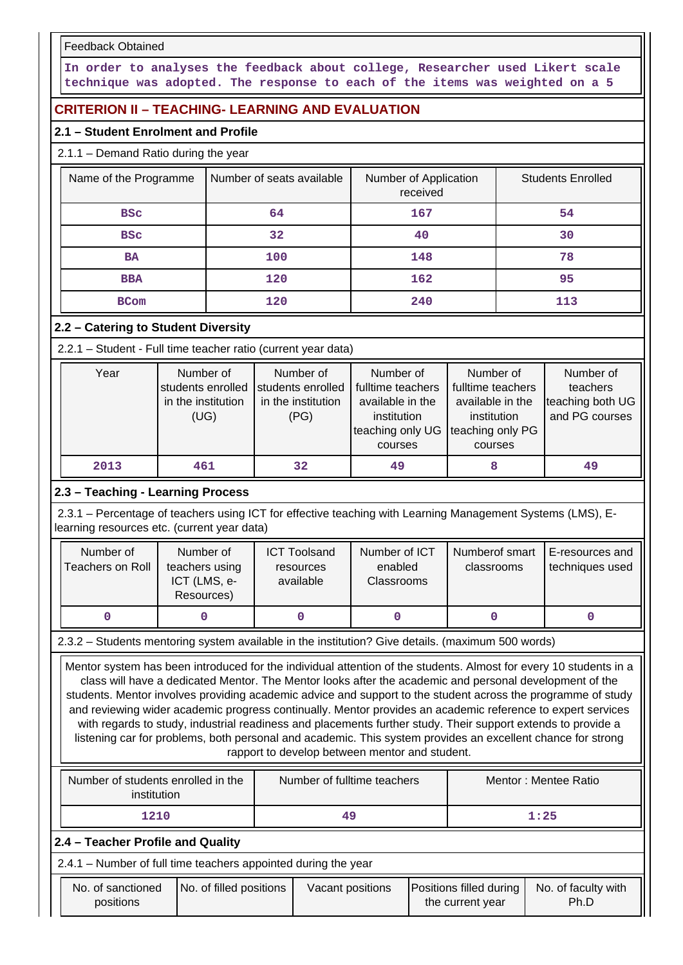Feedback Obtained

**In order to analyses the feedback about college, Researcher used Likert scale technique was adopted. The response to each of the items was weighted on a 5**

# **CRITERION II – TEACHING- LEARNING AND EVALUATION**

# **2.1 – Student Enrolment and Profile**

# 2.1.1 – Demand Ratio during the year

| Name of the Programme | Number of seats available<br>Number of Application<br>received |     |     |  |  |
|-----------------------|----------------------------------------------------------------|-----|-----|--|--|
| <b>BSC</b>            | 64                                                             |     | 54  |  |  |
| 32<br><b>BSC</b>      |                                                                | 40  | 30  |  |  |
| <b>BA</b>             | 100                                                            | 148 | 78  |  |  |
| <b>BBA</b>            | 120                                                            |     | 95  |  |  |
| <b>BCom</b>           | 120                                                            | 240 | 113 |  |  |

# **2.2 – Catering to Student Diversity**

2.2.1 – Student - Full time teacher ratio (current year data)

| Year | Number of          | Number of          | Number of         | Number of         | Number of        |
|------|--------------------|--------------------|-------------------|-------------------|------------------|
|      | students enrolled  | students enrolled  | fulltime teachers | fulltime teachers | teachers         |
|      | in the institution | in the institution | available in the  | available in the  | teaching both UG |
|      | (UG)               | (PG)               | institution       | institution       | and PG courses   |
|      |                    |                    | teaching only UG  | teaching only PG  |                  |
|      |                    |                    | courses           | courses           |                  |
| 2013 | 461                | 32                 | 49                | 8                 | 49               |

# **2.3 – Teaching - Learning Process**

 2.3.1 – Percentage of teachers using ICT for effective teaching with Learning Management Systems (LMS), Elearning resources etc. (current year data)

| Number of<br>Teachers on Roll | Number of<br>teachers using<br>ICT (LMS, e-<br>Resources) | <b>ICT Toolsand</b><br>resources<br>available | Number of ICT<br>enabled<br><b>Classrooms</b> | Numberof smart<br>classrooms | E-resources and<br>techniques used |
|-------------------------------|-----------------------------------------------------------|-----------------------------------------------|-----------------------------------------------|------------------------------|------------------------------------|
|                               |                                                           |                                               |                                               |                              |                                    |

2.3.2 – Students mentoring system available in the institution? Give details. (maximum 500 words)

 Mentor system has been introduced for the individual attention of the students. Almost for every 10 students in a class will have a dedicated Mentor. The Mentor looks after the academic and personal development of the students. Mentor involves providing academic advice and support to the student across the programme of study and reviewing wider academic progress continually. Mentor provides an academic reference to expert services with regards to study, industrial readiness and placements further study. Their support extends to provide a listening car for problems, both personal and academic. This system provides an excellent chance for strong rapport to develop between mentor and student.

| Number of students enrolled in the<br>institution | Number of fulltime teachers | Mentor: Mentee Ratio |  |  |  |  |  |
|---------------------------------------------------|-----------------------------|----------------------|--|--|--|--|--|
| 1210                                              | 49                          | 1:25                 |  |  |  |  |  |
| 2.4 – Teacher Profile and Quality                 |                             |                      |  |  |  |  |  |

2.4.1 – Number of full time teachers appointed during the year

| No. of sanctioned<br>positions | No. of filled positions | Vacant positions | Positions filled during<br>the current year | No. of faculty with<br>Ph.D |
|--------------------------------|-------------------------|------------------|---------------------------------------------|-----------------------------|
|                                |                         |                  |                                             |                             |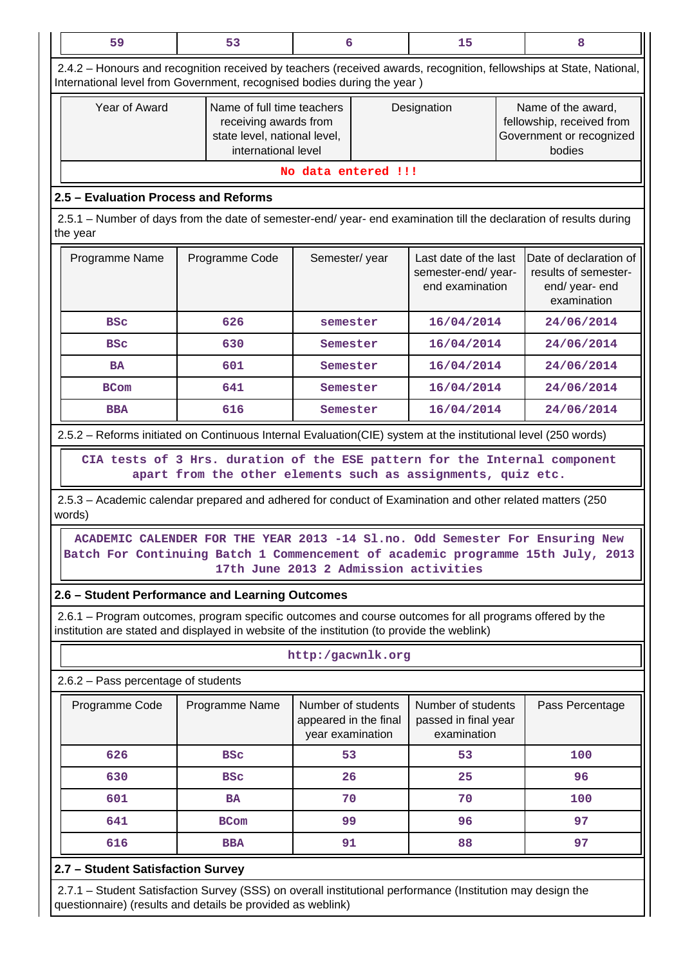| 59                                                                                                                                                                                                     | 53                                                                                                                                                              | 6                                                               | 15                                                              |  | 8                                                                                     |  |  |  |  |
|--------------------------------------------------------------------------------------------------------------------------------------------------------------------------------------------------------|-----------------------------------------------------------------------------------------------------------------------------------------------------------------|-----------------------------------------------------------------|-----------------------------------------------------------------|--|---------------------------------------------------------------------------------------|--|--|--|--|
| 2.4.2 – Honours and recognition received by teachers (received awards, recognition, fellowships at State, National,<br>International level from Government, recognised bodies during the year)         |                                                                                                                                                                 |                                                                 |                                                                 |  |                                                                                       |  |  |  |  |
| Year of Award                                                                                                                                                                                          | Name of full time teachers<br>receiving awards from<br>state level, national level,<br>international level                                                      |                                                                 | Designation                                                     |  | Name of the award,<br>fellowship, received from<br>Government or recognized<br>bodies |  |  |  |  |
|                                                                                                                                                                                                        |                                                                                                                                                                 | No data entered !!!                                             |                                                                 |  |                                                                                       |  |  |  |  |
| 2.5 - Evaluation Process and Reforms                                                                                                                                                                   |                                                                                                                                                                 |                                                                 |                                                                 |  |                                                                                       |  |  |  |  |
| the year                                                                                                                                                                                               | 2.5.1 – Number of days from the date of semester-end/ year- end examination till the declaration of results during                                              |                                                                 |                                                                 |  |                                                                                       |  |  |  |  |
| Programme Name                                                                                                                                                                                         | Programme Code                                                                                                                                                  | Semester/year                                                   | Last date of the last<br>semester-end/ year-<br>end examination |  | Date of declaration of<br>results of semester-<br>end/ year- end<br>examination       |  |  |  |  |
| <b>BSC</b>                                                                                                                                                                                             | 626                                                                                                                                                             | semester                                                        | 16/04/2014                                                      |  | 24/06/2014                                                                            |  |  |  |  |
| <b>BSC</b>                                                                                                                                                                                             | 630                                                                                                                                                             | Semester                                                        | 16/04/2014                                                      |  | 24/06/2014                                                                            |  |  |  |  |
| <b>BA</b>                                                                                                                                                                                              | 601                                                                                                                                                             | Semester                                                        | 16/04/2014                                                      |  | 24/06/2014                                                                            |  |  |  |  |
| <b>BCom</b>                                                                                                                                                                                            | 641                                                                                                                                                             | Semester                                                        | 16/04/2014                                                      |  | 24/06/2014                                                                            |  |  |  |  |
| <b>BBA</b>                                                                                                                                                                                             | 616                                                                                                                                                             | Semester                                                        | 16/04/2014                                                      |  | 24/06/2014                                                                            |  |  |  |  |
| 2.5.2 - Reforms initiated on Continuous Internal Evaluation(CIE) system at the institutional level (250 words)                                                                                         |                                                                                                                                                                 |                                                                 |                                                                 |  |                                                                                       |  |  |  |  |
|                                                                                                                                                                                                        | CIA tests of 3 Hrs. duration of the ESE pattern for the Internal component<br>apart from the other elements such as assignments, quiz etc.                      |                                                                 |                                                                 |  |                                                                                       |  |  |  |  |
| 2.5.3 - Academic calendar prepared and adhered for conduct of Examination and other related matters (250<br>words)                                                                                     |                                                                                                                                                                 |                                                                 |                                                                 |  |                                                                                       |  |  |  |  |
|                                                                                                                                                                                                        | ACADEMIC CALENDER FOR THE YEAR 2013 -14 Sl.no. Odd Semester For Ensuring New<br>Batch For Continuing Batch 1 Commencement of academic programme 15th July, 2013 | 17th June 2013 2 Admission activities                           |                                                                 |  |                                                                                       |  |  |  |  |
| 2.6 - Student Performance and Learning Outcomes                                                                                                                                                        |                                                                                                                                                                 |                                                                 |                                                                 |  |                                                                                       |  |  |  |  |
| 2.6.1 – Program outcomes, program specific outcomes and course outcomes for all programs offered by the<br>institution are stated and displayed in website of the institution (to provide the weblink) |                                                                                                                                                                 |                                                                 |                                                                 |  |                                                                                       |  |  |  |  |
|                                                                                                                                                                                                        |                                                                                                                                                                 | http:/gacwnlk.org                                               |                                                                 |  |                                                                                       |  |  |  |  |
| 2.6.2 - Pass percentage of students                                                                                                                                                                    |                                                                                                                                                                 |                                                                 |                                                                 |  |                                                                                       |  |  |  |  |
| Programme Code                                                                                                                                                                                         | Programme Name                                                                                                                                                  | Number of students<br>appeared in the final<br>year examination | Number of students<br>passed in final year<br>examination       |  | Pass Percentage                                                                       |  |  |  |  |
| 626                                                                                                                                                                                                    | <b>BSC</b>                                                                                                                                                      | 53                                                              | 53                                                              |  | 100                                                                                   |  |  |  |  |
| 630                                                                                                                                                                                                    | <b>BSC</b>                                                                                                                                                      | 26                                                              | 25                                                              |  | 96                                                                                    |  |  |  |  |
| 601                                                                                                                                                                                                    | <b>BA</b>                                                                                                                                                       | 70                                                              | 70                                                              |  | 100                                                                                   |  |  |  |  |
| 641                                                                                                                                                                                                    | <b>BCom</b>                                                                                                                                                     | 99                                                              | 96                                                              |  | 97                                                                                    |  |  |  |  |
| 616                                                                                                                                                                                                    | <b>BBA</b>                                                                                                                                                      | 91                                                              | 88                                                              |  | 97                                                                                    |  |  |  |  |
|                                                                                                                                                                                                        |                                                                                                                                                                 |                                                                 |                                                                 |  |                                                                                       |  |  |  |  |
| 2.7 - Student Satisfaction Survey<br>2.7.1 - Student Satisfaction Survey (SSS) on overall institutional performance (Institution may design the                                                        |                                                                                                                                                                 |                                                                 |                                                                 |  |                                                                                       |  |  |  |  |

questionnaire) (results and details be provided as weblink)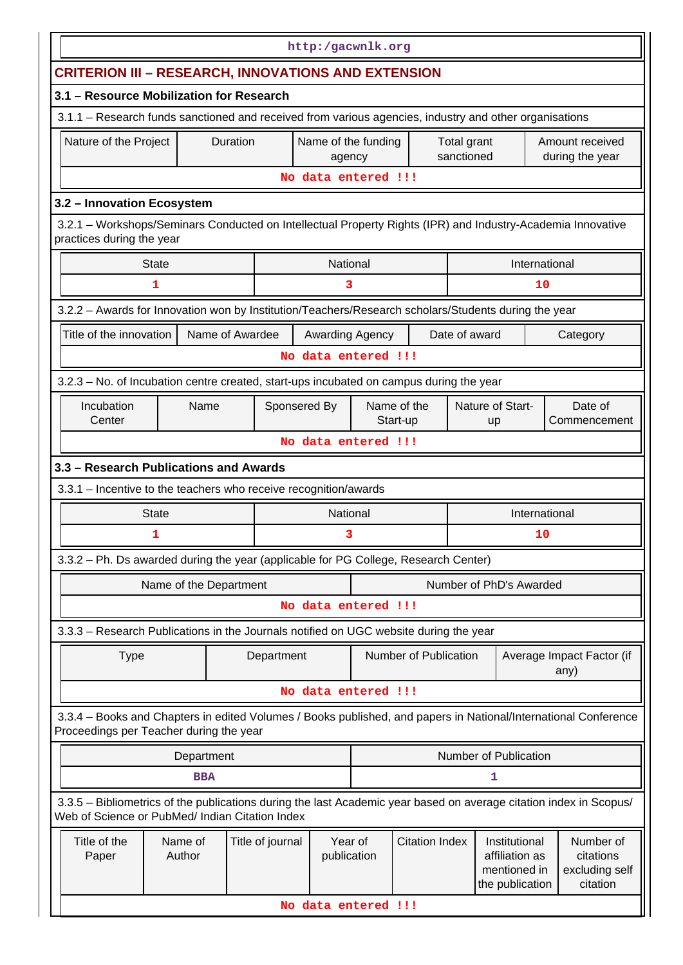| http:/gacwnlk.org                                                                                                                                                     |                        |                  |                               |  |                       |                           |                                                   |    |                                         |
|-----------------------------------------------------------------------------------------------------------------------------------------------------------------------|------------------------|------------------|-------------------------------|--|-----------------------|---------------------------|---------------------------------------------------|----|-----------------------------------------|
|                                                                                                                                                                       |                        |                  |                               |  |                       |                           |                                                   |    |                                         |
| <b>CRITERION III - RESEARCH, INNOVATIONS AND EXTENSION</b>                                                                                                            |                        |                  |                               |  |                       |                           |                                                   |    |                                         |
| 3.1 - Resource Mobilization for Research                                                                                                                              |                        |                  |                               |  |                       |                           |                                                   |    |                                         |
| 3.1.1 - Research funds sanctioned and received from various agencies, industry and other organisations                                                                |                        |                  |                               |  |                       |                           |                                                   |    |                                         |
| Nature of the Project                                                                                                                                                 | <b>Duration</b>        |                  | Name of the funding<br>agency |  |                       | Total grant<br>sanctioned |                                                   |    | Amount received<br>during the year      |
|                                                                                                                                                                       |                        |                  | No data entered !!!           |  |                       |                           |                                                   |    |                                         |
| 3.2 - Innovation Ecosystem                                                                                                                                            |                        |                  |                               |  |                       |                           |                                                   |    |                                         |
| 3.2.1 - Workshops/Seminars Conducted on Intellectual Property Rights (IPR) and Industry-Academia Innovative<br>practices during the year                              |                        |                  |                               |  |                       |                           |                                                   |    |                                         |
| <b>State</b>                                                                                                                                                          |                        |                  | National                      |  |                       |                           | International                                     |    |                                         |
| 1                                                                                                                                                                     |                        |                  | 3                             |  |                       |                           |                                                   | 10 |                                         |
| 3.2.2 - Awards for Innovation won by Institution/Teachers/Research scholars/Students during the year                                                                  |                        |                  |                               |  |                       |                           |                                                   |    |                                         |
| Title of the innovation                                                                                                                                               | Name of Awardee        |                  | Awarding Agency               |  |                       | Date of award             |                                                   |    | Category                                |
|                                                                                                                                                                       |                        |                  | No data entered !!!           |  |                       |                           |                                                   |    |                                         |
| 3.2.3 - No. of Incubation centre created, start-ups incubated on campus during the year                                                                               |                        |                  |                               |  |                       |                           |                                                   |    |                                         |
| Incubation                                                                                                                                                            | Name                   | Sponsered By     |                               |  | Name of the           |                           | Nature of Start-                                  |    | Date of                                 |
| Center                                                                                                                                                                |                        |                  |                               |  | Start-up              |                           | up                                                |    | Commencement                            |
|                                                                                                                                                                       |                        |                  | No data entered !!!           |  |                       |                           |                                                   |    |                                         |
| 3.3 - Research Publications and Awards                                                                                                                                |                        |                  |                               |  |                       |                           |                                                   |    |                                         |
| 3.3.1 - Incentive to the teachers who receive recognition/awards                                                                                                      |                        |                  |                               |  |                       |                           |                                                   |    |                                         |
| <b>State</b>                                                                                                                                                          |                        |                  | National                      |  |                       |                           | International                                     |    |                                         |
| 1                                                                                                                                                                     |                        |                  | 3                             |  |                       |                           |                                                   | 10 |                                         |
| 3.3.2 - Ph. Ds awarded during the year (applicable for PG College, Research Center)                                                                                   |                        |                  |                               |  |                       |                           |                                                   |    |                                         |
|                                                                                                                                                                       | Name of the Department |                  |                               |  |                       |                           | Number of PhD's Awarded                           |    |                                         |
|                                                                                                                                                                       |                        |                  | No data entered !!!           |  |                       |                           |                                                   |    |                                         |
| 3.3.3 - Research Publications in the Journals notified on UGC website during the year                                                                                 |                        |                  |                               |  |                       |                           |                                                   |    |                                         |
| <b>Type</b>                                                                                                                                                           |                        | Department       |                               |  | Number of Publication |                           |                                                   |    | Average Impact Factor (if<br>any)       |
|                                                                                                                                                                       |                        |                  | No data entered !!!           |  |                       |                           |                                                   |    |                                         |
| 3.3.4 - Books and Chapters in edited Volumes / Books published, and papers in National/International Conference<br>Proceedings per Teacher during the year            |                        |                  |                               |  |                       |                           |                                                   |    |                                         |
|                                                                                                                                                                       | Department             |                  |                               |  |                       |                           | Number of Publication                             |    |                                         |
|                                                                                                                                                                       | <b>BBA</b>             |                  |                               |  |                       |                           | ı                                                 |    |                                         |
| 3.3.5 – Bibliometrics of the publications during the last Academic year based on average citation index in Scopus/<br>Web of Science or PubMed/ Indian Citation Index |                        |                  |                               |  |                       |                           |                                                   |    |                                         |
| Title of the                                                                                                                                                          | Name of                | Title of journal | Year of                       |  | <b>Citation Index</b> |                           | Institutional                                     |    | Number of                               |
| Paper                                                                                                                                                                 | Author                 |                  | publication                   |  |                       |                           | affiliation as<br>mentioned in<br>the publication |    | citations<br>excluding self<br>citation |
|                                                                                                                                                                       |                        |                  | No data entered !!!           |  |                       |                           |                                                   |    |                                         |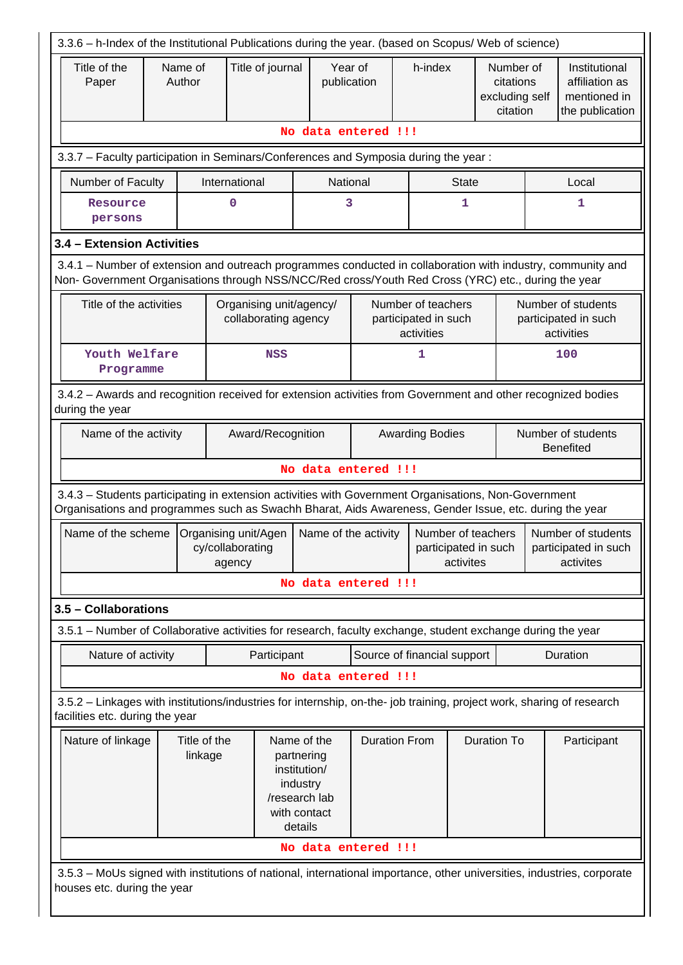| 3.3.6 - h-Index of the Institutional Publications during the year. (based on Scopus/ Web of science)                                                                                                               |  |                         |                                                    |                                                                                                   |                                        |                                                          |                                                      |                                                                    |
|--------------------------------------------------------------------------------------------------------------------------------------------------------------------------------------------------------------------|--|-------------------------|----------------------------------------------------|---------------------------------------------------------------------------------------------------|----------------------------------------|----------------------------------------------------------|------------------------------------------------------|--------------------------------------------------------------------|
| Title of the<br>Paper                                                                                                                                                                                              |  | Name of<br>Author       | Title of journal                                   | publication                                                                                       | Year of                                | h-index                                                  | Number of<br>citations<br>excluding self<br>citation | Institutional<br>affiliation as<br>mentioned in<br>the publication |
|                                                                                                                                                                                                                    |  |                         |                                                    |                                                                                                   | No data entered !!!                    |                                                          |                                                      |                                                                    |
| 3.3.7 - Faculty participation in Seminars/Conferences and Symposia during the year:                                                                                                                                |  |                         |                                                    |                                                                                                   |                                        |                                                          |                                                      |                                                                    |
| Number of Faculty                                                                                                                                                                                                  |  |                         | International                                      |                                                                                                   | National                               | <b>State</b>                                             |                                                      | Local                                                              |
| Resource<br>persons                                                                                                                                                                                                |  |                         | 0                                                  |                                                                                                   | 3                                      | 1                                                        |                                                      | 1                                                                  |
| 3.4 - Extension Activities                                                                                                                                                                                         |  |                         |                                                    |                                                                                                   |                                        |                                                          |                                                      |                                                                    |
| 3.4.1 – Number of extension and outreach programmes conducted in collaboration with industry, community and<br>Non- Government Organisations through NSS/NCC/Red cross/Youth Red Cross (YRC) etc., during the year |  |                         |                                                    |                                                                                                   |                                        |                                                          |                                                      |                                                                    |
| Title of the activities                                                                                                                                                                                            |  |                         | Organising unit/agency/<br>collaborating agency    |                                                                                                   |                                        | Number of teachers<br>participated in such<br>activities |                                                      | Number of students<br>participated in such<br>activities           |
| Youth Welfare<br>Programme                                                                                                                                                                                         |  |                         | <b>NSS</b>                                         |                                                                                                   |                                        | 1                                                        |                                                      | 100                                                                |
| 3.4.2 - Awards and recognition received for extension activities from Government and other recognized bodies<br>during the year                                                                                    |  |                         |                                                    |                                                                                                   |                                        |                                                          |                                                      |                                                                    |
| Name of the activity<br>Award/Recognition<br><b>Awarding Bodies</b>                                                                                                                                                |  |                         |                                                    |                                                                                                   | Number of students<br><b>Benefited</b> |                                                          |                                                      |                                                                    |
|                                                                                                                                                                                                                    |  |                         |                                                    |                                                                                                   | No data entered !!!                    |                                                          |                                                      |                                                                    |
| 3.4.3 - Students participating in extension activities with Government Organisations, Non-Government<br>Organisations and programmes such as Swachh Bharat, Aids Awareness, Gender Issue, etc. during the year     |  |                         |                                                    |                                                                                                   |                                        |                                                          |                                                      |                                                                    |
| Name of the scheme                                                                                                                                                                                                 |  |                         | Organising unit/Agen<br>cy/collaborating<br>agency | Name of the activity                                                                              |                                        | Number of teachers<br>participated in such<br>activites  |                                                      | Number of students<br>participated in such<br>activites            |
|                                                                                                                                                                                                                    |  |                         |                                                    |                                                                                                   | No data entered !!!                    |                                                          |                                                      |                                                                    |
| 3.5 - Collaborations                                                                                                                                                                                               |  |                         |                                                    |                                                                                                   |                                        |                                                          |                                                      |                                                                    |
| 3.5.1 – Number of Collaborative activities for research, faculty exchange, student exchange during the year                                                                                                        |  |                         |                                                    |                                                                                                   |                                        |                                                          |                                                      |                                                                    |
| Nature of activity                                                                                                                                                                                                 |  |                         | Participant                                        |                                                                                                   |                                        | Source of financial support                              |                                                      | Duration                                                           |
|                                                                                                                                                                                                                    |  |                         |                                                    |                                                                                                   | No data entered !!!                    |                                                          |                                                      |                                                                    |
| 3.5.2 - Linkages with institutions/industries for internship, on-the- job training, project work, sharing of research<br>facilities etc. during the year                                                           |  |                         |                                                    |                                                                                                   |                                        |                                                          |                                                      |                                                                    |
| Nature of linkage                                                                                                                                                                                                  |  | Title of the<br>linkage |                                                    | Name of the<br>partnering<br>institution/<br>industry<br>/research lab<br>with contact<br>details | <b>Duration From</b>                   |                                                          | <b>Duration To</b>                                   | Participant                                                        |
|                                                                                                                                                                                                                    |  |                         |                                                    |                                                                                                   | No data entered !!!                    |                                                          |                                                      |                                                                    |
| 3.5.3 – MoUs signed with institutions of national, international importance, other universities, industries, corporate<br>houses etc. during the year                                                              |  |                         |                                                    |                                                                                                   |                                        |                                                          |                                                      |                                                                    |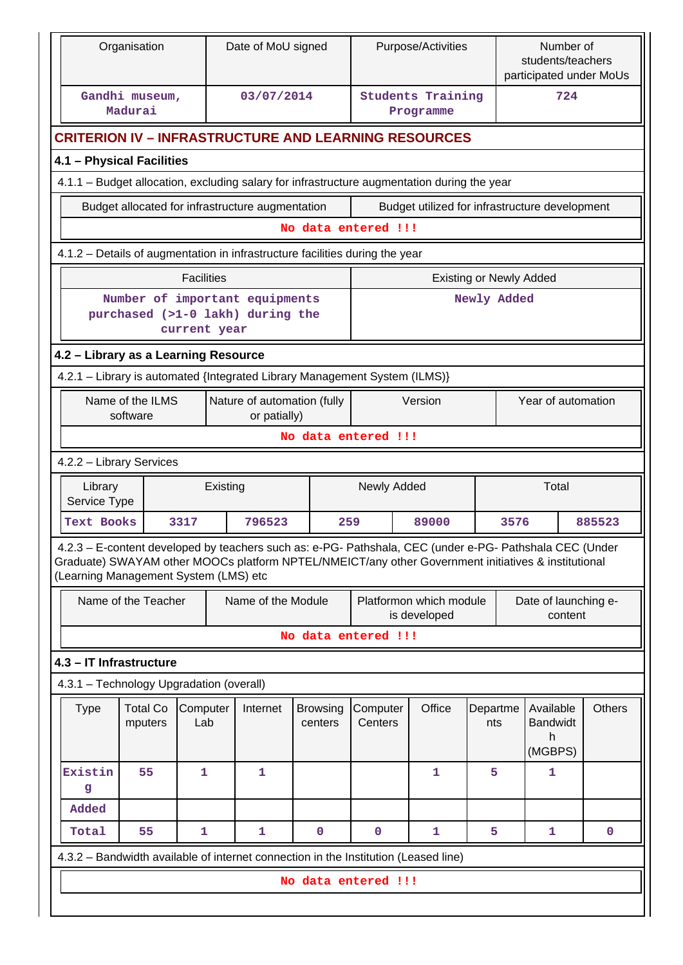| Organisation<br>Date of MoU signed |                                                                                                   |                                                                                                                                                                                                                                                         |                                                     |          | Purpose/Activities                          |  |                            |                     |  | Number of<br>students/teachers<br>participated under MoUs |                 |      |                                              |  |               |
|------------------------------------|---------------------------------------------------------------------------------------------------|---------------------------------------------------------------------------------------------------------------------------------------------------------------------------------------------------------------------------------------------------------|-----------------------------------------------------|----------|---------------------------------------------|--|----------------------------|---------------------|--|-----------------------------------------------------------|-----------------|------|----------------------------------------------|--|---------------|
|                                    |                                                                                                   | Gandhi museum,<br>Madurai                                                                                                                                                                                                                               | 03/07/2014<br><b>Students Training</b><br>Programme |          |                                             |  |                            | 724                 |  |                                                           |                 |      |                                              |  |               |
|                                    |                                                                                                   | <b>CRITERION IV – INFRASTRUCTURE AND LEARNING RESOURCES</b>                                                                                                                                                                                             |                                                     |          |                                             |  |                            |                     |  |                                                           |                 |      |                                              |  |               |
|                                    |                                                                                                   | 4.1 - Physical Facilities                                                                                                                                                                                                                               |                                                     |          |                                             |  |                            |                     |  |                                                           |                 |      |                                              |  |               |
|                                    |                                                                                                   | 4.1.1 - Budget allocation, excluding salary for infrastructure augmentation during the year                                                                                                                                                             |                                                     |          |                                             |  |                            |                     |  |                                                           |                 |      |                                              |  |               |
|                                    |                                                                                                   | Budget allocated for infrastructure augmentation                                                                                                                                                                                                        |                                                     |          |                                             |  |                            |                     |  | Budget utilized for infrastructure development            |                 |      |                                              |  |               |
|                                    |                                                                                                   |                                                                                                                                                                                                                                                         |                                                     |          |                                             |  |                            | No data entered !!! |  |                                                           |                 |      |                                              |  |               |
|                                    | 4.1.2 - Details of augmentation in infrastructure facilities during the year                      |                                                                                                                                                                                                                                                         |                                                     |          |                                             |  |                            |                     |  |                                                           |                 |      |                                              |  |               |
|                                    | <b>Facilities</b><br><b>Existing or Newly Added</b>                                               |                                                                                                                                                                                                                                                         |                                                     |          |                                             |  |                            |                     |  |                                                           |                 |      |                                              |  |               |
|                                    | Number of important equipments<br>Newly Added<br>purchased (>1-0 lakh) during the<br>current year |                                                                                                                                                                                                                                                         |                                                     |          |                                             |  |                            |                     |  |                                                           |                 |      |                                              |  |               |
|                                    | 4.2 - Library as a Learning Resource                                                              |                                                                                                                                                                                                                                                         |                                                     |          |                                             |  |                            |                     |  |                                                           |                 |      |                                              |  |               |
|                                    |                                                                                                   | 4.2.1 - Library is automated {Integrated Library Management System (ILMS)}                                                                                                                                                                              |                                                     |          |                                             |  |                            |                     |  |                                                           |                 |      |                                              |  |               |
|                                    |                                                                                                   | Name of the ILMS<br>software                                                                                                                                                                                                                            |                                                     |          | Nature of automation (fully<br>or patially) |  |                            |                     |  | Version                                                   |                 |      | Year of automation                           |  |               |
|                                    |                                                                                                   |                                                                                                                                                                                                                                                         |                                                     |          |                                             |  |                            | No data entered !!! |  |                                                           |                 |      |                                              |  |               |
|                                    |                                                                                                   | 4.2.2 - Library Services                                                                                                                                                                                                                                |                                                     |          |                                             |  |                            |                     |  |                                                           |                 |      |                                              |  |               |
|                                    | Library<br>Service Type                                                                           |                                                                                                                                                                                                                                                         |                                                     | Existing |                                             |  |                            | Newly Added         |  |                                                           |                 |      | Total                                        |  |               |
|                                    | <b>Text Books</b>                                                                                 |                                                                                                                                                                                                                                                         | 3317                                                |          | 796523                                      |  | 259                        |                     |  | 89000                                                     |                 | 3576 |                                              |  | 885523        |
|                                    |                                                                                                   | 4.2.3 - E-content developed by teachers such as: e-PG- Pathshala, CEC (under e-PG- Pathshala CEC (Under<br>Graduate) SWAYAM other MOOCs platform NPTEL/NMEICT/any other Government initiatives & institutional<br>(Learning Management System (LMS) etc |                                                     |          |                                             |  |                            |                     |  |                                                           |                 |      |                                              |  |               |
|                                    |                                                                                                   | Name of the Teacher                                                                                                                                                                                                                                     |                                                     |          | Name of the Module                          |  |                            |                     |  | Platformon which module<br>is developed                   |                 |      | Date of launching e-<br>content              |  |               |
|                                    |                                                                                                   |                                                                                                                                                                                                                                                         |                                                     |          |                                             |  |                            | No data entered !!! |  |                                                           |                 |      |                                              |  |               |
|                                    |                                                                                                   | 4.3 - IT Infrastructure                                                                                                                                                                                                                                 |                                                     |          |                                             |  |                            |                     |  |                                                           |                 |      |                                              |  |               |
|                                    |                                                                                                   | 4.3.1 - Technology Upgradation (overall)                                                                                                                                                                                                                |                                                     |          |                                             |  |                            |                     |  |                                                           |                 |      |                                              |  |               |
|                                    | <b>Type</b>                                                                                       | <b>Total Co</b><br>mputers                                                                                                                                                                                                                              | Computer<br>Lab                                     |          | Internet                                    |  | <b>Browsing</b><br>centers | Computer<br>Centers |  | Office                                                    | Departme<br>nts |      | Available<br><b>Bandwidt</b><br>h<br>(MGBPS) |  | <b>Others</b> |
|                                    | Existin<br>g                                                                                      | 55                                                                                                                                                                                                                                                      | 1                                                   |          | 1                                           |  |                            |                     |  | 1                                                         | 5               |      | 1                                            |  |               |
|                                    | Added                                                                                             |                                                                                                                                                                                                                                                         |                                                     |          |                                             |  |                            |                     |  |                                                           |                 |      |                                              |  |               |
|                                    | Total                                                                                             | 55                                                                                                                                                                                                                                                      | $\mathbf{1}$                                        |          | $\mathbf{1}$                                |  | $\mathbf 0$                | $\mathbf 0$         |  | $\mathbf{1}$                                              | 5               |      | $\mathbf{1}$                                 |  | $\mathbf 0$   |
|                                    |                                                                                                   | 4.3.2 - Bandwidth available of internet connection in the Institution (Leased line)                                                                                                                                                                     |                                                     |          |                                             |  |                            |                     |  |                                                           |                 |      |                                              |  |               |
|                                    |                                                                                                   |                                                                                                                                                                                                                                                         |                                                     |          |                                             |  |                            | No data entered !!! |  |                                                           |                 |      |                                              |  |               |
|                                    |                                                                                                   |                                                                                                                                                                                                                                                         |                                                     |          |                                             |  |                            |                     |  |                                                           |                 |      |                                              |  |               |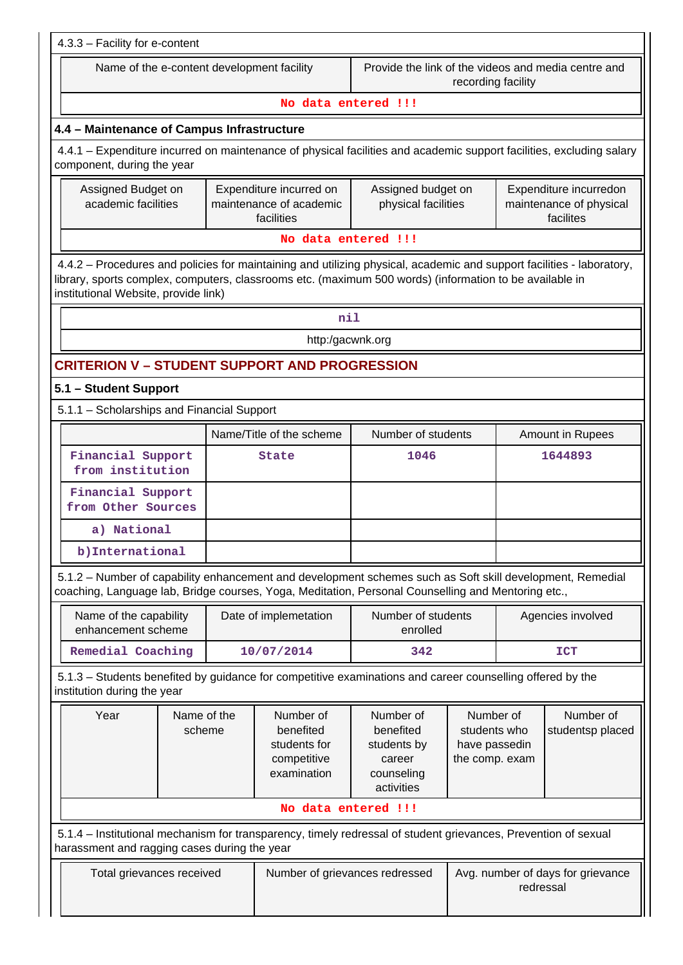| 4.3.3 - Facility for e-content                                                                                                                                                                                                                                           |                                                                                                                         |  |                                                                      |                                                                             |                                                              |                  |                               |  |  |  |
|--------------------------------------------------------------------------------------------------------------------------------------------------------------------------------------------------------------------------------------------------------------------------|-------------------------------------------------------------------------------------------------------------------------|--|----------------------------------------------------------------------|-----------------------------------------------------------------------------|--------------------------------------------------------------|------------------|-------------------------------|--|--|--|
|                                                                                                                                                                                                                                                                          | Name of the e-content development facility<br>Provide the link of the videos and media centre and<br>recording facility |  |                                                                      |                                                                             |                                                              |                  |                               |  |  |  |
|                                                                                                                                                                                                                                                                          |                                                                                                                         |  | No data entered !!!                                                  |                                                                             |                                                              |                  |                               |  |  |  |
| 4.4 - Maintenance of Campus Infrastructure                                                                                                                                                                                                                               |                                                                                                                         |  |                                                                      |                                                                             |                                                              |                  |                               |  |  |  |
| 4.4.1 - Expenditure incurred on maintenance of physical facilities and academic support facilities, excluding salary<br>component, during the year                                                                                                                       |                                                                                                                         |  |                                                                      |                                                                             |                                                              |                  |                               |  |  |  |
| Assigned Budget on<br>Expenditure incurred on<br>Assigned budget on<br>Expenditure incurredon<br>maintenance of academic<br>academic facilities<br>physical facilities<br>maintenance of physical<br>facilities<br>facilites                                             |                                                                                                                         |  |                                                                      |                                                                             |                                                              |                  |                               |  |  |  |
|                                                                                                                                                                                                                                                                          |                                                                                                                         |  | No data entered !!!                                                  |                                                                             |                                                              |                  |                               |  |  |  |
| 4.4.2 - Procedures and policies for maintaining and utilizing physical, academic and support facilities - laboratory,<br>library, sports complex, computers, classrooms etc. (maximum 500 words) (information to be available in<br>institutional Website, provide link) |                                                                                                                         |  |                                                                      |                                                                             |                                                              |                  |                               |  |  |  |
|                                                                                                                                                                                                                                                                          |                                                                                                                         |  | nil                                                                  |                                                                             |                                                              |                  |                               |  |  |  |
|                                                                                                                                                                                                                                                                          |                                                                                                                         |  | http:/gacwnk.org                                                     |                                                                             |                                                              |                  |                               |  |  |  |
| <b>CRITERION V - STUDENT SUPPORT AND PROGRESSION</b>                                                                                                                                                                                                                     |                                                                                                                         |  |                                                                      |                                                                             |                                                              |                  |                               |  |  |  |
| 5.1 - Student Support                                                                                                                                                                                                                                                    |                                                                                                                         |  |                                                                      |                                                                             |                                                              |                  |                               |  |  |  |
| 5.1.1 - Scholarships and Financial Support                                                                                                                                                                                                                               |                                                                                                                         |  |                                                                      |                                                                             |                                                              |                  |                               |  |  |  |
|                                                                                                                                                                                                                                                                          |                                                                                                                         |  | Name/Title of the scheme                                             | Number of students                                                          |                                                              | Amount in Rupees |                               |  |  |  |
| Financial Support<br>from institution                                                                                                                                                                                                                                    |                                                                                                                         |  | State                                                                | 1046                                                                        |                                                              | 1644893          |                               |  |  |  |
| Financial Support<br>from Other Sources                                                                                                                                                                                                                                  |                                                                                                                         |  |                                                                      |                                                                             |                                                              |                  |                               |  |  |  |
| a) National                                                                                                                                                                                                                                                              |                                                                                                                         |  |                                                                      |                                                                             |                                                              |                  |                               |  |  |  |
| b)International                                                                                                                                                                                                                                                          |                                                                                                                         |  |                                                                      |                                                                             |                                                              |                  |                               |  |  |  |
| 5.1.2 - Number of capability enhancement and development schemes such as Soft skill development, Remedial<br>coaching, Language lab, Bridge courses, Yoga, Meditation, Personal Counselling and Mentoring etc.,                                                          |                                                                                                                         |  |                                                                      |                                                                             |                                                              |                  |                               |  |  |  |
| Name of the capability<br>enhancement scheme                                                                                                                                                                                                                             |                                                                                                                         |  | Date of implemetation                                                | Number of students<br>enrolled                                              |                                                              |                  | Agencies involved             |  |  |  |
| Remedial Coaching                                                                                                                                                                                                                                                        |                                                                                                                         |  | 10/07/2014                                                           | 342                                                                         |                                                              | <b>ICT</b>       |                               |  |  |  |
| 5.1.3 - Students benefited by guidance for competitive examinations and career counselling offered by the<br>institution during the year                                                                                                                                 |                                                                                                                         |  |                                                                      |                                                                             |                                                              |                  |                               |  |  |  |
| Year                                                                                                                                                                                                                                                                     | Name of the<br>scheme                                                                                                   |  | Number of<br>benefited<br>students for<br>competitive<br>examination | Number of<br>benefited<br>students by<br>career<br>counseling<br>activities | Number of<br>students who<br>have passedin<br>the comp. exam |                  | Number of<br>studentsp placed |  |  |  |
|                                                                                                                                                                                                                                                                          |                                                                                                                         |  | No data entered !!!                                                  |                                                                             |                                                              |                  |                               |  |  |  |
| 5.1.4 – Institutional mechanism for transparency, timely redressal of student grievances, Prevention of sexual<br>harassment and ragging cases during the year                                                                                                           |                                                                                                                         |  |                                                                      |                                                                             |                                                              |                  |                               |  |  |  |
| Total grievances received                                                                                                                                                                                                                                                |                                                                                                                         |  | Number of grievances redressed                                       | Avg. number of days for grievance<br>redressal                              |                                                              |                  |                               |  |  |  |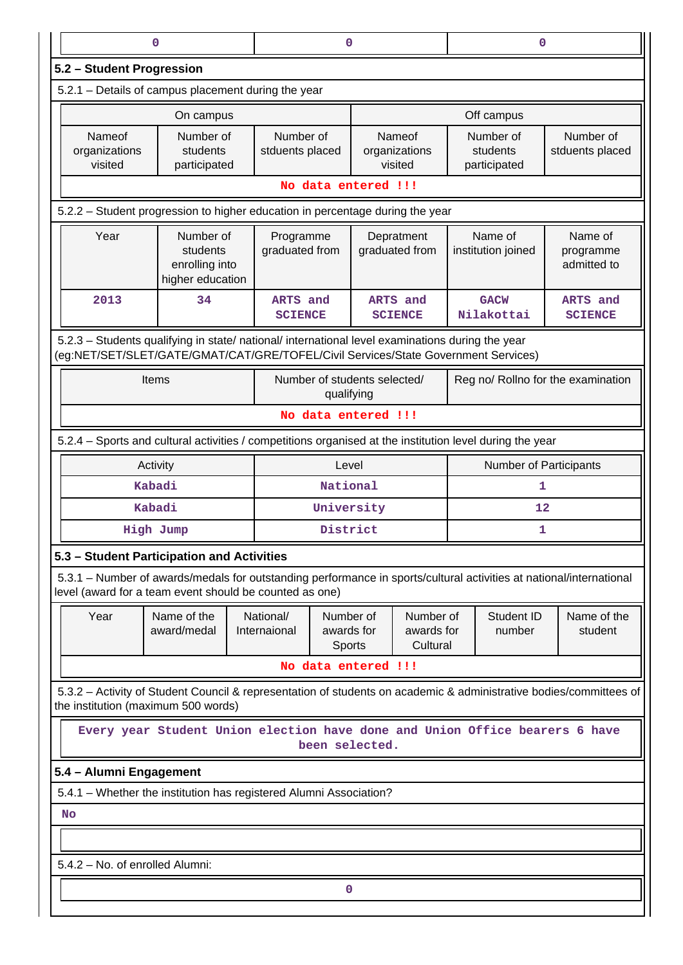| 0                                                                                                                                                                                      |                                                                             |  | 0                                                           |                                                                    |                               | 0                                     |                                     |                              |                                                                                                                    |  |  |  |  |  |
|----------------------------------------------------------------------------------------------------------------------------------------------------------------------------------------|-----------------------------------------------------------------------------|--|-------------------------------------------------------------|--------------------------------------------------------------------|-------------------------------|---------------------------------------|-------------------------------------|------------------------------|--------------------------------------------------------------------------------------------------------------------|--|--|--|--|--|
|                                                                                                                                                                                        | 5.2 - Student Progression                                                   |  |                                                             |                                                                    |                               |                                       |                                     |                              |                                                                                                                    |  |  |  |  |  |
|                                                                                                                                                                                        | 5.2.1 - Details of campus placement during the year                         |  |                                                             |                                                                    |                               |                                       |                                     |                              |                                                                                                                    |  |  |  |  |  |
|                                                                                                                                                                                        | On campus                                                                   |  |                                                             |                                                                    |                               |                                       | Off campus                          |                              |                                                                                                                    |  |  |  |  |  |
| Nameof<br>Number of<br>organizations<br>students<br>visited<br>participated                                                                                                            |                                                                             |  |                                                             | Number of<br>Nameof<br>stduents placed<br>organizations<br>visited |                               | Number of<br>students<br>participated |                                     | Number of<br>stduents placed |                                                                                                                    |  |  |  |  |  |
|                                                                                                                                                                                        | No data entered !!!                                                         |  |                                                             |                                                                    |                               |                                       |                                     |                              |                                                                                                                    |  |  |  |  |  |
| 5.2.2 - Student progression to higher education in percentage during the year                                                                                                          |                                                                             |  |                                                             |                                                                    |                               |                                       |                                     |                              |                                                                                                                    |  |  |  |  |  |
| Year                                                                                                                                                                                   | Number of<br>students<br>enrolling into<br>higher education                 |  | Programme<br>Depratment<br>graduated from<br>graduated from |                                                                    | Name of<br>institution joined |                                       | Name of<br>programme<br>admitted to |                              |                                                                                                                    |  |  |  |  |  |
| 2013                                                                                                                                                                                   | 34                                                                          |  | ARTS and<br><b>SCIENCE</b>                                  |                                                                    |                               | ARTS and<br><b>SCIENCE</b>            |                                     | <b>GACW</b><br>Nilakottai    | ARTS and<br><b>SCIENCE</b>                                                                                         |  |  |  |  |  |
| 5.2.3 - Students qualifying in state/ national/ international level examinations during the year<br>(eg:NET/SET/SLET/GATE/GMAT/CAT/GRE/TOFEL/Civil Services/State Government Services) |                                                                             |  |                                                             |                                                                    |                               |                                       |                                     |                              |                                                                                                                    |  |  |  |  |  |
|                                                                                                                                                                                        | Items                                                                       |  |                                                             | qualifying                                                         | Number of students selected/  |                                       | Reg no/ Rollno for the examination  |                              |                                                                                                                    |  |  |  |  |  |
|                                                                                                                                                                                        |                                                                             |  |                                                             |                                                                    | No data entered !!!           |                                       |                                     |                              |                                                                                                                    |  |  |  |  |  |
| 5.2.4 – Sports and cultural activities / competitions organised at the institution level during the year                                                                               |                                                                             |  |                                                             |                                                                    |                               |                                       |                                     |                              |                                                                                                                    |  |  |  |  |  |
|                                                                                                                                                                                        | Activity                                                                    |  | Level                                                       |                                                                    |                               |                                       | Number of Participants              |                              |                                                                                                                    |  |  |  |  |  |
|                                                                                                                                                                                        | Kabadi                                                                      |  | National                                                    |                                                                    |                               |                                       | 1                                   |                              |                                                                                                                    |  |  |  |  |  |
|                                                                                                                                                                                        | Kabadi                                                                      |  | University                                                  |                                                                    |                               |                                       | 12                                  |                              |                                                                                                                    |  |  |  |  |  |
|                                                                                                                                                                                        | High Jump                                                                   |  | District                                                    |                                                                    |                               |                                       | 1                                   |                              |                                                                                                                    |  |  |  |  |  |
| 5.3 - Student Participation and Activities                                                                                                                                             |                                                                             |  |                                                             |                                                                    |                               |                                       |                                     |                              |                                                                                                                    |  |  |  |  |  |
| 5.3.1 – Number of awards/medals for outstanding performance in sports/cultural activities at national/international<br>level (award for a team event should be counted as one)         |                                                                             |  |                                                             |                                                                    |                               |                                       |                                     |                              |                                                                                                                    |  |  |  |  |  |
| Year                                                                                                                                                                                   | Name of the<br>award/medal                                                  |  | National/<br>Internaional                                   | Number of<br>awards for<br>Sports                                  |                               | Number of<br>awards for<br>Cultural   | Student ID<br>number                |                              | Name of the<br>student                                                                                             |  |  |  |  |  |
|                                                                                                                                                                                        |                                                                             |  |                                                             |                                                                    | No data entered !!!           |                                       |                                     |                              |                                                                                                                    |  |  |  |  |  |
| the institution (maximum 500 words)                                                                                                                                                    |                                                                             |  |                                                             |                                                                    |                               |                                       |                                     |                              | 5.3.2 - Activity of Student Council & representation of students on academic & administrative bodies/committees of |  |  |  |  |  |
|                                                                                                                                                                                        | Every year Student Union election have done and Union Office bearers 6 have |  |                                                             |                                                                    | been selected.                |                                       |                                     |                              |                                                                                                                    |  |  |  |  |  |
| 5.4 - Alumni Engagement                                                                                                                                                                |                                                                             |  |                                                             |                                                                    |                               |                                       |                                     |                              |                                                                                                                    |  |  |  |  |  |
| 5.4.1 - Whether the institution has registered Alumni Association?                                                                                                                     |                                                                             |  |                                                             |                                                                    |                               |                                       |                                     |                              |                                                                                                                    |  |  |  |  |  |
| No                                                                                                                                                                                     |                                                                             |  |                                                             |                                                                    |                               |                                       |                                     |                              |                                                                                                                    |  |  |  |  |  |
|                                                                                                                                                                                        |                                                                             |  |                                                             |                                                                    |                               |                                       |                                     |                              |                                                                                                                    |  |  |  |  |  |
| 5.4.2 - No. of enrolled Alumni:                                                                                                                                                        |                                                                             |  |                                                             |                                                                    |                               |                                       |                                     |                              |                                                                                                                    |  |  |  |  |  |
|                                                                                                                                                                                        |                                                                             |  |                                                             |                                                                    |                               |                                       |                                     |                              |                                                                                                                    |  |  |  |  |  |
|                                                                                                                                                                                        |                                                                             |  |                                                             |                                                                    | 0                             |                                       |                                     |                              |                                                                                                                    |  |  |  |  |  |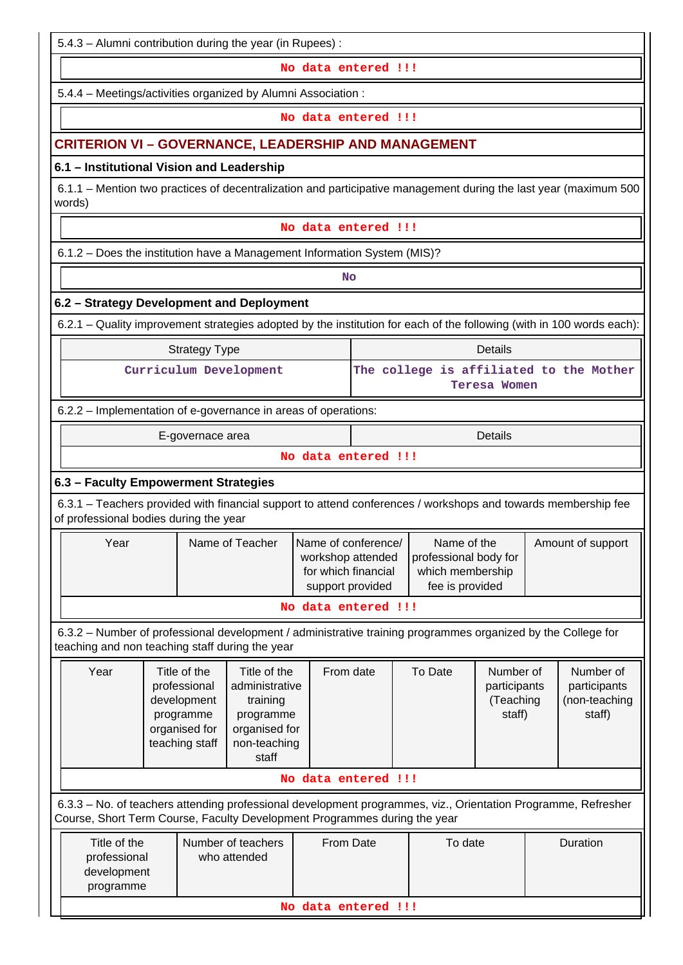5.4.3 – Alumni contribution during the year (in Rupees) :

**No data entered !!!**

5.4.4 – Meetings/activities organized by Alumni Association :

**No data entered !!!**

# **CRITERION VI – GOVERNANCE, LEADERSHIP AND MANAGEMENT**

## **6.1 – Institutional Vision and Leadership**

 6.1.1 – Mention two practices of decentralization and participative management during the last year (maximum 500 words)

#### **No data entered !!!**

6.1.2 – Does the institution have a Management Information System (MIS)?

**No. 2. In the case of the case of the case of the case of the case of the case of the case of the case of the case of the case of the case of the case of the case of the case of the case of the case of the case of the cas** 

## **6.2 – Strategy Development and Deployment**

6.2.1 – Quality improvement strategies adopted by the institution for each of the following (with in 100 words each):

| Strategy Type          | Details                                 |
|------------------------|-----------------------------------------|
| Curriculum Development | The college is affiliated to the Mother |
|                        | Teresa Women                            |

## 6.2.2 – Implementation of e-governance in areas of operations:

E-governace area **Details** 

## **No data entered !!!**

## **6.3 – Faculty Empowerment Strategies**

 6.3.1 – Teachers provided with financial support to attend conferences / workshops and towards membership fee of professional bodies during the year

| Year | Name of Teacher | Name of conference/ | Name of the           | Amount of support |  |  |  |  |  |  |
|------|-----------------|---------------------|-----------------------|-------------------|--|--|--|--|--|--|
|      |                 | workshop attended   | professional body for |                   |  |  |  |  |  |  |
|      |                 | for which financial | which membership      |                   |  |  |  |  |  |  |
|      |                 | support provided    | fee is provided       |                   |  |  |  |  |  |  |
|      |                 |                     |                       |                   |  |  |  |  |  |  |

#### **No data entered !!!**

 6.3.2 – Number of professional development / administrative training programmes organized by the College for teaching and non teaching staff during the year

| Title of the<br>Year<br>professional<br>development<br>programme<br>organised for<br>teaching staff                                                                                        |                     | Title of the<br>From date<br>administrative<br>training<br>programme<br>organised for<br>non-teaching<br>staff |  | To Date | Number of<br>participants<br>(Teaching<br>staff) | Number of<br>participants<br>(non-teaching<br>staff) |  |  |  |  |  |
|--------------------------------------------------------------------------------------------------------------------------------------------------------------------------------------------|---------------------|----------------------------------------------------------------------------------------------------------------|--|---------|--------------------------------------------------|------------------------------------------------------|--|--|--|--|--|
|                                                                                                                                                                                            | No data entered !!! |                                                                                                                |  |         |                                                  |                                                      |  |  |  |  |  |
| 6.3.3 – No. of teachers attending professional development programmes, viz., Orientation Programme, Refresher<br>Course, Short Term Course, Faculty Development Programmes during the year |                     |                                                                                                                |  |         |                                                  |                                                      |  |  |  |  |  |
| Title of the<br>Number of teachers<br>To date<br>From Date<br>Duration                                                                                                                     |                     |                                                                                                                |  |         |                                                  |                                                      |  |  |  |  |  |

| Title of the        | Number of teachers | From Date | To date | <b>Duration</b> |  |  |  |  |  |  |
|---------------------|--------------------|-----------|---------|-----------------|--|--|--|--|--|--|
| professional        | who attended       |           |         |                 |  |  |  |  |  |  |
| development         |                    |           |         |                 |  |  |  |  |  |  |
| programme           |                    |           |         |                 |  |  |  |  |  |  |
| No data entered !!! |                    |           |         |                 |  |  |  |  |  |  |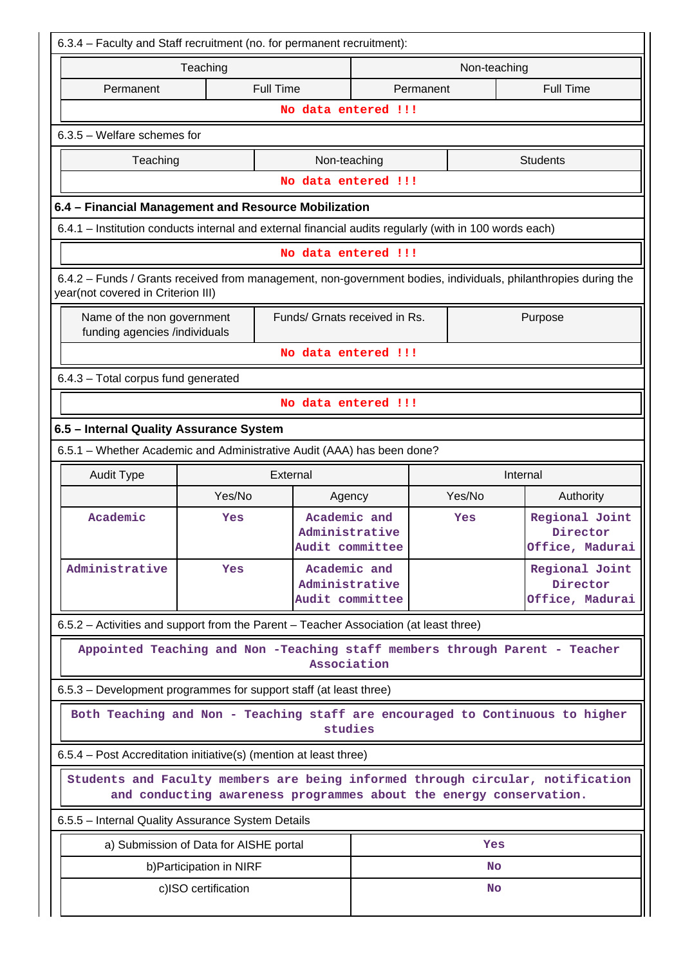| 6.3.4 - Faculty and Staff recruitment (no. for permanent recruitment):                                                                               |                                        |                                                                    |                                                   |        |          |                                               |  |  |  |  |
|------------------------------------------------------------------------------------------------------------------------------------------------------|----------------------------------------|--------------------------------------------------------------------|---------------------------------------------------|--------|----------|-----------------------------------------------|--|--|--|--|
| Teaching<br>Non-teaching                                                                                                                             |                                        |                                                                    |                                                   |        |          |                                               |  |  |  |  |
| Permanent                                                                                                                                            |                                        | <b>Full Time</b>                                                   | <b>Full Time</b><br>Permanent                     |        |          |                                               |  |  |  |  |
|                                                                                                                                                      | No data entered !!!                    |                                                                    |                                                   |        |          |                                               |  |  |  |  |
|                                                                                                                                                      | $6.3.5$ – Welfare schemes for          |                                                                    |                                                   |        |          |                                               |  |  |  |  |
| Non-teaching<br><b>Students</b><br>Teaching                                                                                                          |                                        |                                                                    |                                                   |        |          |                                               |  |  |  |  |
|                                                                                                                                                      | No data entered !!!                    |                                                                    |                                                   |        |          |                                               |  |  |  |  |
| 6.4 - Financial Management and Resource Mobilization                                                                                                 |                                        |                                                                    |                                                   |        |          |                                               |  |  |  |  |
| 6.4.1 - Institution conducts internal and external financial audits regularly (with in 100 words each)                                               |                                        |                                                                    |                                                   |        |          |                                               |  |  |  |  |
|                                                                                                                                                      |                                        | No data entered !!!                                                |                                                   |        |          |                                               |  |  |  |  |
| 6.4.2 - Funds / Grants received from management, non-government bodies, individuals, philanthropies during the<br>year(not covered in Criterion III) |                                        |                                                                    |                                                   |        |          |                                               |  |  |  |  |
| Name of the non government<br>funding agencies /individuals                                                                                          |                                        | Funds/ Grnats received in Rs.                                      |                                                   |        |          | Purpose                                       |  |  |  |  |
|                                                                                                                                                      |                                        | No data entered !!!                                                |                                                   |        |          |                                               |  |  |  |  |
| 6.4.3 - Total corpus fund generated                                                                                                                  |                                        |                                                                    |                                                   |        |          |                                               |  |  |  |  |
|                                                                                                                                                      |                                        | No data entered !!!                                                |                                                   |        |          |                                               |  |  |  |  |
| 6.5 - Internal Quality Assurance System                                                                                                              |                                        |                                                                    |                                                   |        |          |                                               |  |  |  |  |
| 6.5.1 - Whether Academic and Administrative Audit (AAA) has been done?                                                                               |                                        |                                                                    |                                                   |        |          |                                               |  |  |  |  |
| <b>Audit Type</b>                                                                                                                                    |                                        | External                                                           |                                                   |        | Internal |                                               |  |  |  |  |
|                                                                                                                                                      | Yes/No                                 | Agency                                                             |                                                   | Yes/No |          | Authority                                     |  |  |  |  |
| Academic                                                                                                                                             | Yes                                    |                                                                    | Academic and<br>Administrative<br>Audit committee |        | Yes      | Regional Joint<br>Director<br>Office, Madurai |  |  |  |  |
| Administrative                                                                                                                                       | Yes                                    |                                                                    | Academic and<br>Administrative<br>Audit committee |        |          | Regional Joint<br>Director<br>Office, Madurai |  |  |  |  |
| 6.5.2 – Activities and support from the Parent – Teacher Association (at least three)                                                                |                                        |                                                                    |                                                   |        |          |                                               |  |  |  |  |
| Appointed Teaching and Non -Teaching staff members through Parent - Teacher                                                                          |                                        | Association                                                        |                                                   |        |          |                                               |  |  |  |  |
| 6.5.3 – Development programmes for support staff (at least three)                                                                                    |                                        |                                                                    |                                                   |        |          |                                               |  |  |  |  |
| Both Teaching and Non - Teaching staff are encouraged to Continuous to higher                                                                        |                                        | studies                                                            |                                                   |        |          |                                               |  |  |  |  |
| 6.5.4 – Post Accreditation initiative(s) (mention at least three)                                                                                    |                                        |                                                                    |                                                   |        |          |                                               |  |  |  |  |
| Students and Faculty members are being informed through circular, notification                                                                       |                                        | and conducting awareness programmes about the energy conservation. |                                                   |        |          |                                               |  |  |  |  |
| 6.5.5 - Internal Quality Assurance System Details                                                                                                    |                                        |                                                                    |                                                   |        |          |                                               |  |  |  |  |
|                                                                                                                                                      | a) Submission of Data for AISHE portal |                                                                    |                                                   |        | Yes      |                                               |  |  |  |  |
|                                                                                                                                                      | b) Participation in NIRF               |                                                                    |                                                   |        | No.      |                                               |  |  |  |  |
|                                                                                                                                                      | c)ISO certification                    |                                                                    |                                                   |        | No       |                                               |  |  |  |  |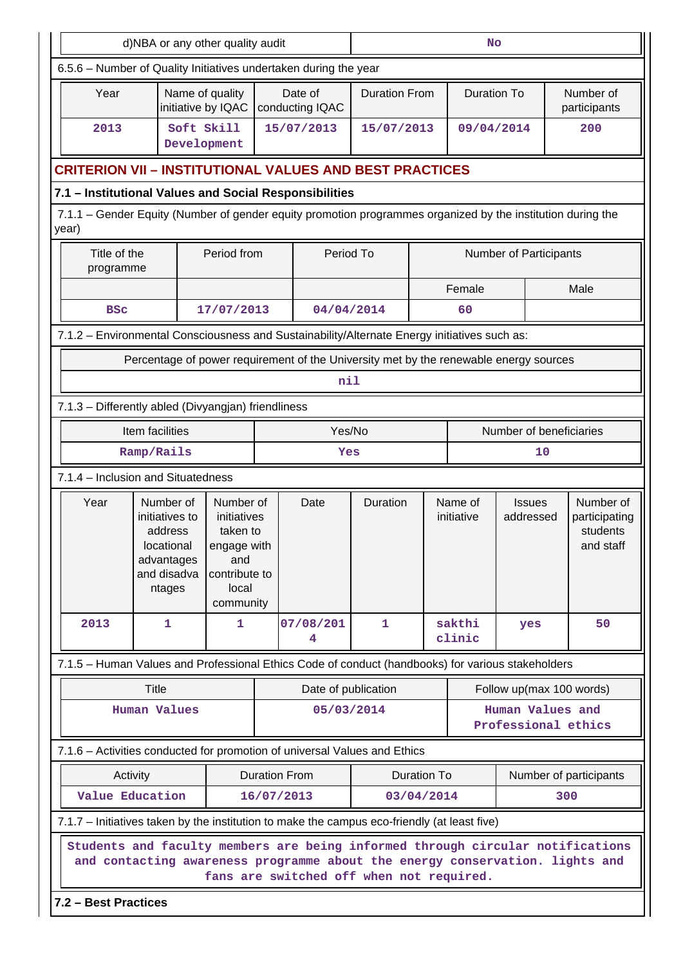| d)NBA or any other quality audit                                                                                                                                                       |                                                                                                             |                                                                                                   |                      |                                                                                       | <b>No</b>            |                    |                       |                                         |                                                     |  |  |  |  |
|----------------------------------------------------------------------------------------------------------------------------------------------------------------------------------------|-------------------------------------------------------------------------------------------------------------|---------------------------------------------------------------------------------------------------|----------------------|---------------------------------------------------------------------------------------|----------------------|--------------------|-----------------------|-----------------------------------------|-----------------------------------------------------|--|--|--|--|
| 6.5.6 - Number of Quality Initiatives undertaken during the year                                                                                                                       |                                                                                                             |                                                                                                   |                      |                                                                                       |                      |                    |                       |                                         |                                                     |  |  |  |  |
| Year                                                                                                                                                                                   | Name of quality<br>initiative by IQAC                                                                       |                                                                                                   |                      | Date of<br>conducting IQAC                                                            | <b>Duration From</b> |                    | <b>Duration To</b>    |                                         | Number of<br>participants                           |  |  |  |  |
| Soft Skill<br>2013<br>Development                                                                                                                                                      |                                                                                                             |                                                                                                   | 15/07/2013           |                                                                                       | 15/07/2013           |                    | 09/04/2014            |                                         | 200                                                 |  |  |  |  |
| <b>CRITERION VII – INSTITUTIONAL VALUES AND BEST PRACTICES</b>                                                                                                                         |                                                                                                             |                                                                                                   |                      |                                                                                       |                      |                    |                       |                                         |                                                     |  |  |  |  |
|                                                                                                                                                                                        | 7.1 - Institutional Values and Social Responsibilities                                                      |                                                                                                   |                      |                                                                                       |                      |                    |                       |                                         |                                                     |  |  |  |  |
| year)                                                                                                                                                                                  | 7.1.1 – Gender Equity (Number of gender equity promotion programmes organized by the institution during the |                                                                                                   |                      |                                                                                       |                      |                    |                       |                                         |                                                     |  |  |  |  |
| Title of the<br>programme                                                                                                                                                              |                                                                                                             | Period from                                                                                       |                      | Period To                                                                             |                      |                    |                       | <b>Number of Participants</b>           |                                                     |  |  |  |  |
|                                                                                                                                                                                        |                                                                                                             |                                                                                                   |                      |                                                                                       |                      |                    | Female                |                                         | Male                                                |  |  |  |  |
| <b>BSC</b>                                                                                                                                                                             |                                                                                                             | 17/07/2013                                                                                        |                      | 04/04/2014                                                                            |                      |                    | 60                    |                                         |                                                     |  |  |  |  |
| 7.1.2 - Environmental Consciousness and Sustainability/Alternate Energy initiatives such as:                                                                                           |                                                                                                             |                                                                                                   |                      |                                                                                       |                      |                    |                       |                                         |                                                     |  |  |  |  |
|                                                                                                                                                                                        |                                                                                                             |                                                                                                   |                      | Percentage of power requirement of the University met by the renewable energy sources |                      |                    |                       |                                         |                                                     |  |  |  |  |
|                                                                                                                                                                                        |                                                                                                             |                                                                                                   |                      | nil                                                                                   |                      |                    |                       |                                         |                                                     |  |  |  |  |
| 7.1.3 - Differently abled (Divyangjan) friendliness                                                                                                                                    |                                                                                                             |                                                                                                   |                      |                                                                                       |                      |                    |                       |                                         |                                                     |  |  |  |  |
| Item facilities                                                                                                                                                                        |                                                                                                             |                                                                                                   |                      | Yes/No                                                                                |                      |                    |                       | Number of beneficiaries                 |                                                     |  |  |  |  |
| Ramp/Rails                                                                                                                                                                             |                                                                                                             |                                                                                                   |                      | Yes                                                                                   |                      |                    |                       | 10                                      |                                                     |  |  |  |  |
| 7.1.4 - Inclusion and Situatedness                                                                                                                                                     |                                                                                                             |                                                                                                   |                      |                                                                                       |                      |                    |                       |                                         |                                                     |  |  |  |  |
| Year                                                                                                                                                                                   | Number of<br>initiatives to<br>address<br>locational<br>advantages<br>and disadva<br>ntages                 | Number of<br>initiatives<br>taken to<br>engage with<br>and<br>contribute to<br>local<br>community |                      | Date                                                                                  | Duration             |                    | Name of<br>initiative | <b>Issues</b><br>addressed              | Number of<br>participating<br>students<br>and staff |  |  |  |  |
| 2013                                                                                                                                                                                   | 1                                                                                                           | 1.                                                                                                |                      | 07/08/201<br>4                                                                        | 1                    |                    | sakthi<br>clinic      | yes                                     | 50                                                  |  |  |  |  |
| 7.1.5 - Human Values and Professional Ethics Code of conduct (handbooks) for various stakeholders                                                                                      |                                                                                                             |                                                                                                   |                      |                                                                                       |                      |                    |                       |                                         |                                                     |  |  |  |  |
| Title                                                                                                                                                                                  |                                                                                                             |                                                                                                   |                      | Date of publication                                                                   |                      |                    |                       | Follow up(max 100 words)                |                                                     |  |  |  |  |
| <b>Human Values</b>                                                                                                                                                                    |                                                                                                             |                                                                                                   |                      | 05/03/2014                                                                            |                      |                    |                       | Human Values and<br>Professional ethics |                                                     |  |  |  |  |
| 7.1.6 - Activities conducted for promotion of universal Values and Ethics                                                                                                              |                                                                                                             |                                                                                                   |                      |                                                                                       |                      |                    |                       |                                         |                                                     |  |  |  |  |
| Activity                                                                                                                                                                               |                                                                                                             |                                                                                                   | <b>Duration From</b> |                                                                                       |                      | <b>Duration To</b> |                       |                                         | Number of participants                              |  |  |  |  |
| Value Education                                                                                                                                                                        |                                                                                                             |                                                                                                   | 16/07/2013           |                                                                                       |                      | 03/04/2014         |                       |                                         | 300                                                 |  |  |  |  |
| 7.1.7 – Initiatives taken by the institution to make the campus eco-friendly (at least five)                                                                                           |                                                                                                             |                                                                                                   |                      |                                                                                       |                      |                    |                       |                                         |                                                     |  |  |  |  |
| Students and faculty members are being informed through circular notifications<br>and contacting awareness programme about the energy conservation. lights and<br>7.2 - Best Practices |                                                                                                             |                                                                                                   |                      | fans are switched off when not required.                                              |                      |                    |                       |                                         |                                                     |  |  |  |  |